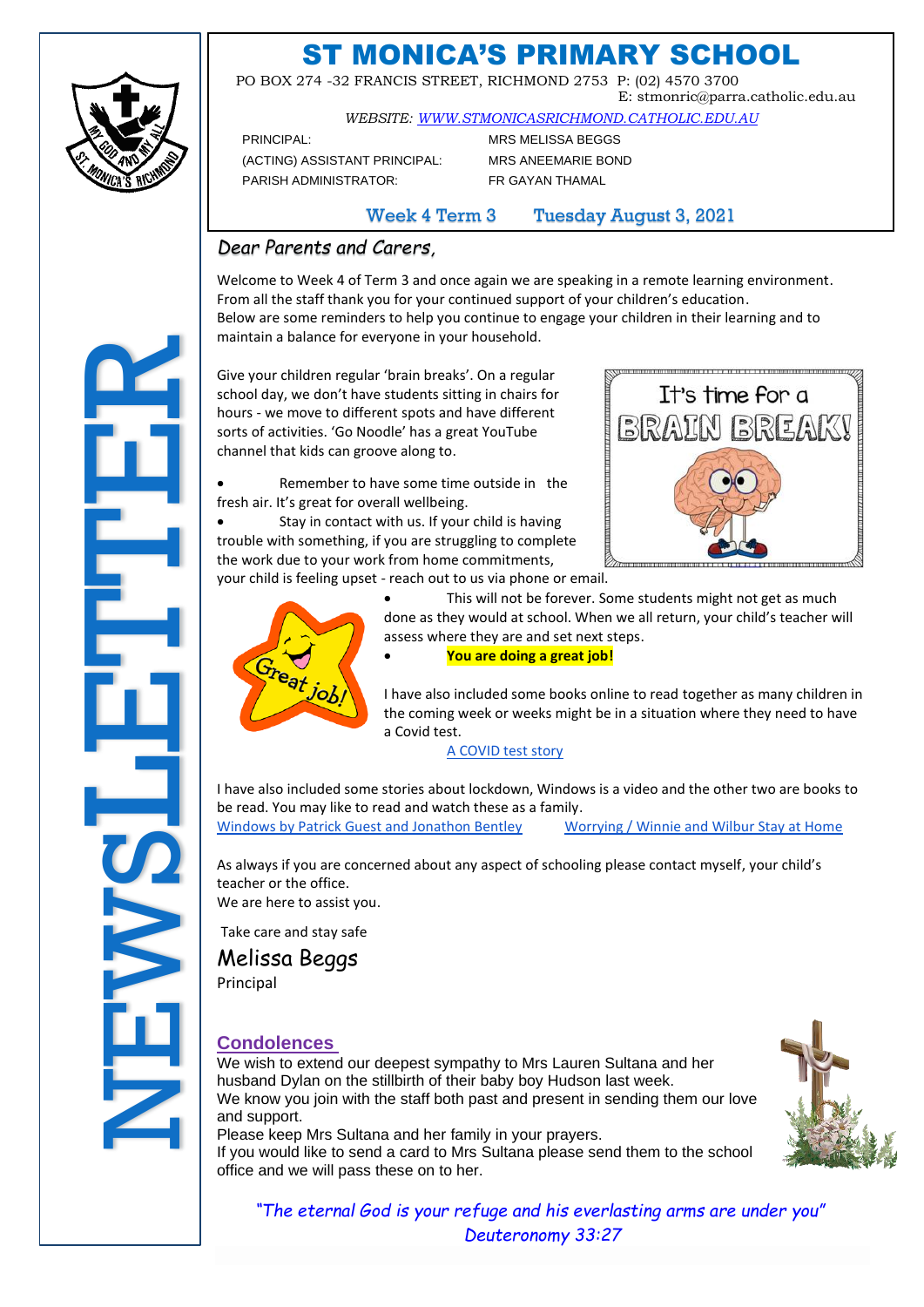

# ST MONICA'S PRIMARY SCHOOL

 PO BOX 274 -32 FRANCIS STREET, RICHMOND 2753 P: (02) 4570 3700 E: stmonric@parra.catholic.edu.au

*WEBSITE: [WWW.STMONICASRICHMOND.CATHOLIC.EDU.AU](http://www.stmonicasrichmond.catholic.edu.au/)*

PRINCIPAL: MRS MELISSA BEGGS (ACTING) ASSISTANT PRINCIPAL: MRS ANEEMARIE BOND PARISH ADMINISTRATOR: FR GAYAN THAMAL

Week 4 Term 3 Tuesday August 3, 2021

### *Dear Parents and Carers,*

Welcome to Week 4 of Term 3 and once again we are speaking in a remote learning environment. From all the staff thank you for your continued support of your children's education. Below are some reminders to help you continue to engage your children in their learning and to maintain a balance for everyone in your household.

Give your children regular 'brain breaks'. On a regular school day, we don't have students sitting in chairs for hours - we move to different spots and have different sorts of activities. 'Go Noodle' has a great YouTube channel that kids can groove along to.

• Remember to have some time outside in the fresh air. It's great for overall wellbeing.



Stay in contact with us. If your child is having trouble with something, if you are struggling to complete the work due to your work from home commitments,

your child is feeling upset - reach out to us via phone or email.



This will not be forever. Some students might not get as much done as they would at school. When we all return, your child's teacher will assess where they are and set next steps.

• **You are doing a great job!**

I have also included some books online to read together as many children in the coming week or weeks might be in a situation where they need to have a Covid test.

[A COVID test story](https://drive.google.com/file/d/1frhYYJnMgSKp6LbwHsuRtxmbwKYyBl3x/view)

I have also included some stories about lockdown, Windows is a video and the other two are books to be read. You may like to read and watch these as a family.

[Windows by Patrick Guest and Jonathon Bentley](https://www.youtube.com/watch?v=_yQv4_rhhU4) [Worrying / Winnie and Wilbur Stay at Home](https://www.oup.com.au/primary/covid-ebooks)

As always if you are concerned about any aspect of schooling please contact myself, your child's teacher or the office. We are here to assist you.

Take care and stay safe

Melissa Beggs Principal

### **Condolences**

We wish to extend our deepest sympathy to Mrs Lauren Sultana and her husband Dylan on the stillbirth of their baby boy Hudson last week. We know you join with the staff both past and present in sending them our love and support.

Please keep Mrs Sultana and her family in your prayers.

If you would like to send a card to Mrs Sultana please send them to the school office and we will pass these on to her.



*"The eternal God is your refuge and his everlasting arms are under you" Deuteronomy 33:27*

# mantial<br>
Give yo<br>
school shours -<br>
outs of<br>
tresh ai<br>
trouble<br>
the word<br>
your ch<br>
we are<br>
Melits<br>
We are<br>
Melits<br>
We are<br>
Melits<br>
We are<br>
Melits<br>
We wish<br>
We wish<br>
We wish<br>
Ne wish<br>
We wish<br>
Ne wish<br>
Ne wish<br>
Ne wish<br>
Ne w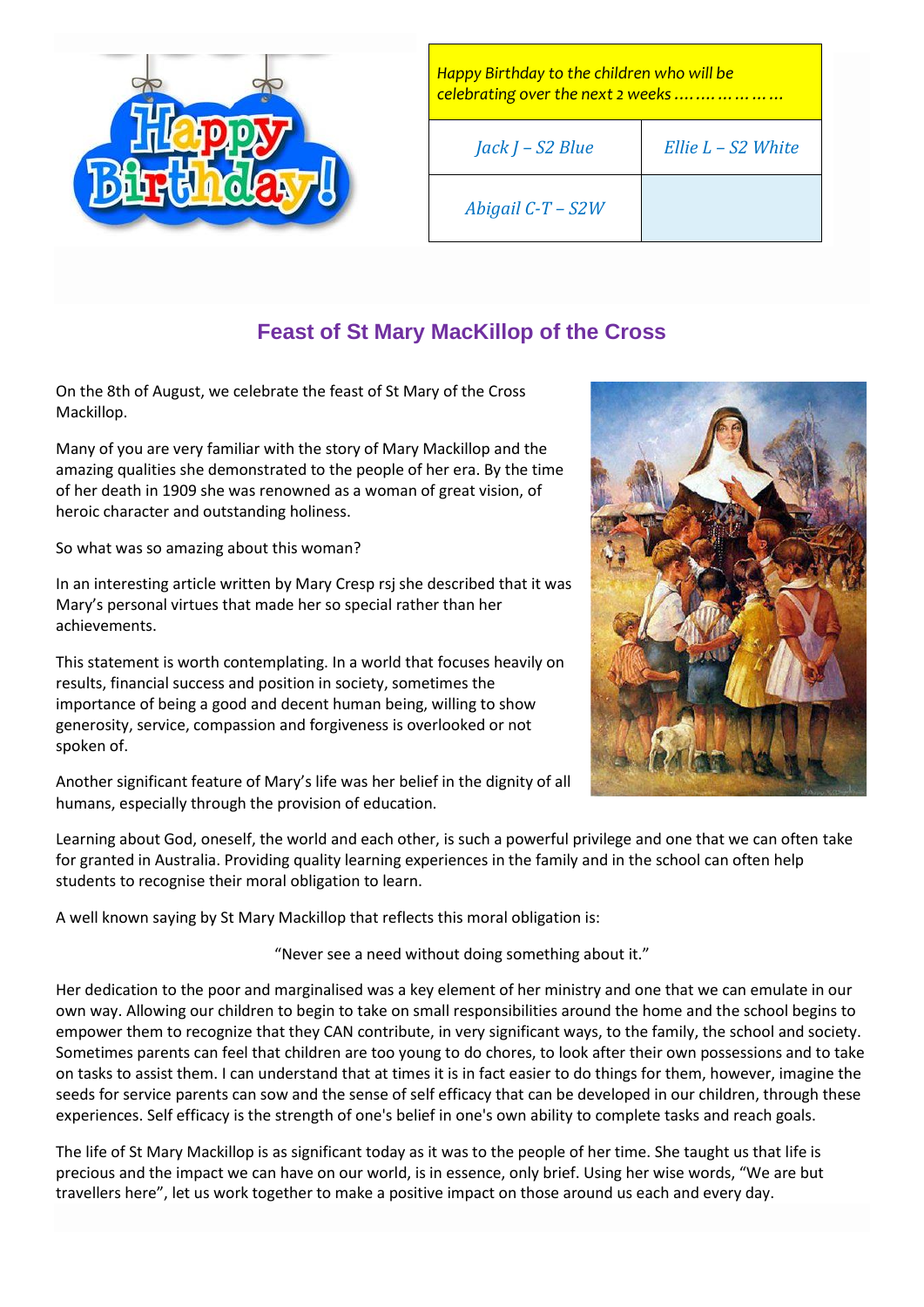

*Happy Birthday to the children who will be celebrating over the next 2 weeks .….……………*

*Abigail C-T – S2W*

## **Feast of St Mary MacKillop of the Cross**

On the 8th of August, we celebrate the feast of St Mary of the Cross Mackillop.

Many of you are very familiar with the story of Mary Mackillop and the amazing qualities she demonstrated to the people of her era. By the time of her death in 1909 she was renowned as a woman of great vision, of heroic character and outstanding holiness.

So what was so amazing about this woman?

In an interesting article written by Mary Cresp rsj she described that it was Mary's personal virtues that made her so special rather than her achievements.

This statement is worth contemplating. In a world that focuses heavily on results, financial success and position in society, sometimes the importance of being a good and decent human being, willing to show generosity, service, compassion and forgiveness is overlooked or not spoken of.

Another significant feature of Mary's life was her belief in the dignity of all humans, especially through the provision of education.

Learning about God, oneself, the world and each other, is such a powerful privilege and one that we can often take for granted in Australia. Providing quality learning experiences in the family and in the school can often help students to recognise their moral obligation to learn.

A well known saying by St Mary Mackillop that reflects this moral obligation is:

"Never see a need without doing something about it."

Her dedication to the poor and marginalised was a key element of her ministry and one that we can emulate in our own way. Allowing our children to begin to take on small responsibilities around the home and the school begins to empower them to recognize that they CAN contribute, in very significant ways, to the family, the school and society. Sometimes parents can feel that children are too young to do chores, to look after their own possessions and to take on tasks to assist them. I can understand that at times it is in fact easier to do things for them, however, imagine the seeds for service parents can sow and the sense of self efficacy that can be developed in our children, through these experiences. Self efficacy is the strength of one's belief in one's own ability to complete tasks and reach goals.

The life of St Mary Mackillop is as significant today as it was to the people of her time. She taught us that life is precious and the impact we can have on our world, is in essence, only brief. Using her wise words, "We are but travellers here", let us work together to make a positive impact on those around us each and every day.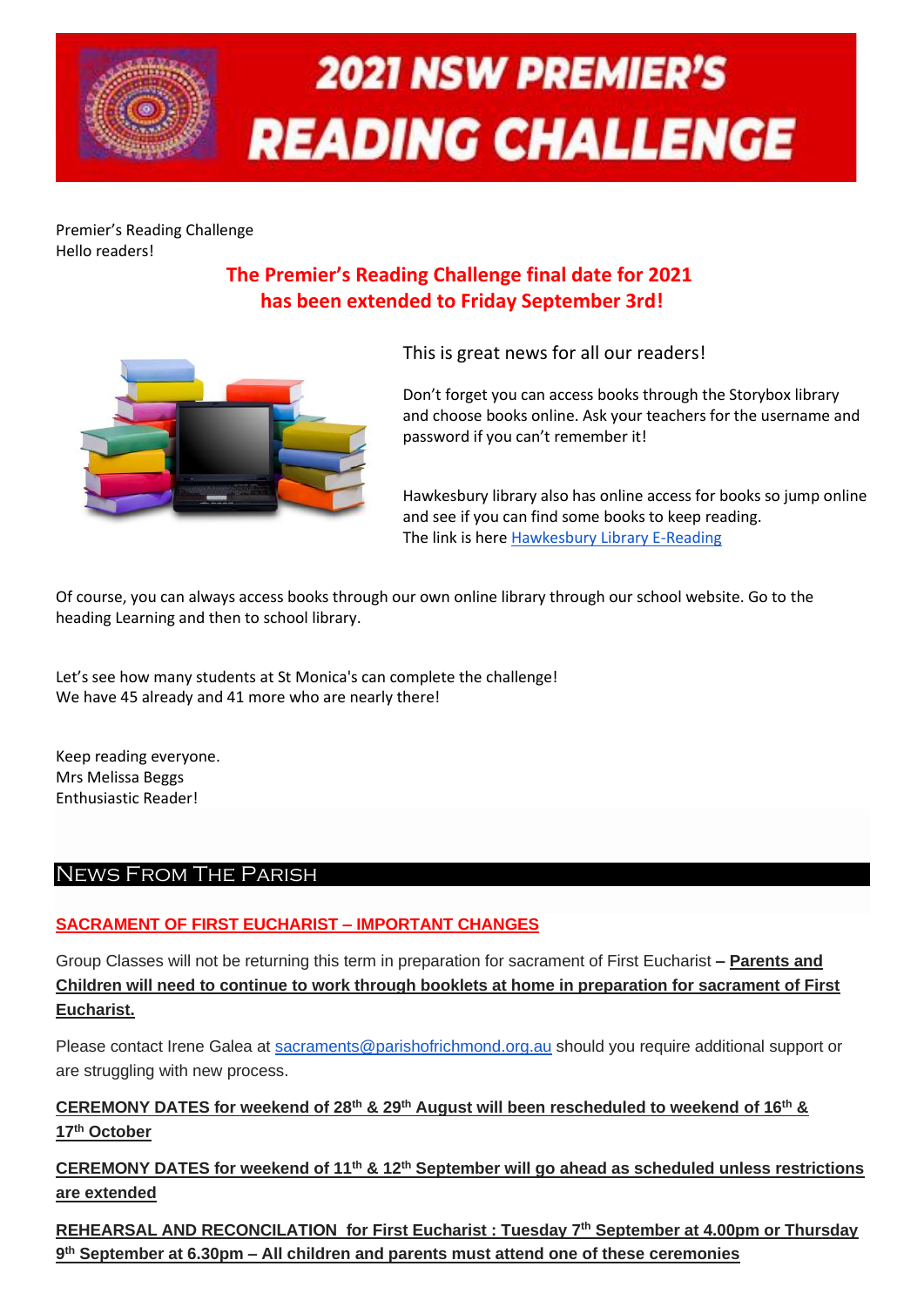

# **2021 NSW PREMIER'S READING CHALLENGE**

Premier's Reading Challenge Hello readers!

### **The Premier's Reading Challenge final date for 2021 has been extended to Friday September 3rd!**



This is great news for all our readers!

Don't forget you can access books through the Storybox library and choose books online. Ask your teachers for the username and password if you can't remember it!

Hawkesbury library also has online access for books so jump online and see if you can find some books to keep reading. The link is here [Hawkesbury Library E-Reading](https://www.hawkesbury.nsw.gov.au/library/elibrary/online-for-kids)

Of course, you can always access books through our own online library through our school website. Go to the heading Learning and then to school library.

Let's see how many students at St Monica's can complete the challenge! We have 45 already and 41 more who are nearly there!

Keep reading everyone. Mrs Melissa Beggs Enthusiastic Reader!

### News From The Parish

### **SACRAMENT OF FIRST EUCHARIST – IMPORTANT CHANGES**

Group Classes will not be returning this term in preparation for sacrament of First Eucharist **– Parents and Children will need to continue to work through booklets at home in preparation for sacrament of First Eucharist.**

Please contact Irene Galea at [sacraments@parishofrichmond.org.au](mailto:sacraments@parishofrichmond.org.au) should you require additional support or are struggling with new process.

**CEREMONY DATES for weekend of 28th & 29th August will been rescheduled to weekend of 16th & 17th October**

**CEREMONY DATES for weekend of 11th & 12th September will go ahead as scheduled unless restrictions are extended**

**REHEARSAL AND RECONCILATION for First Eucharist : Tuesday 7th September at 4.00pm or Thursday 9 th September at 6.30pm – All children and parents must attend one of these ceremonies**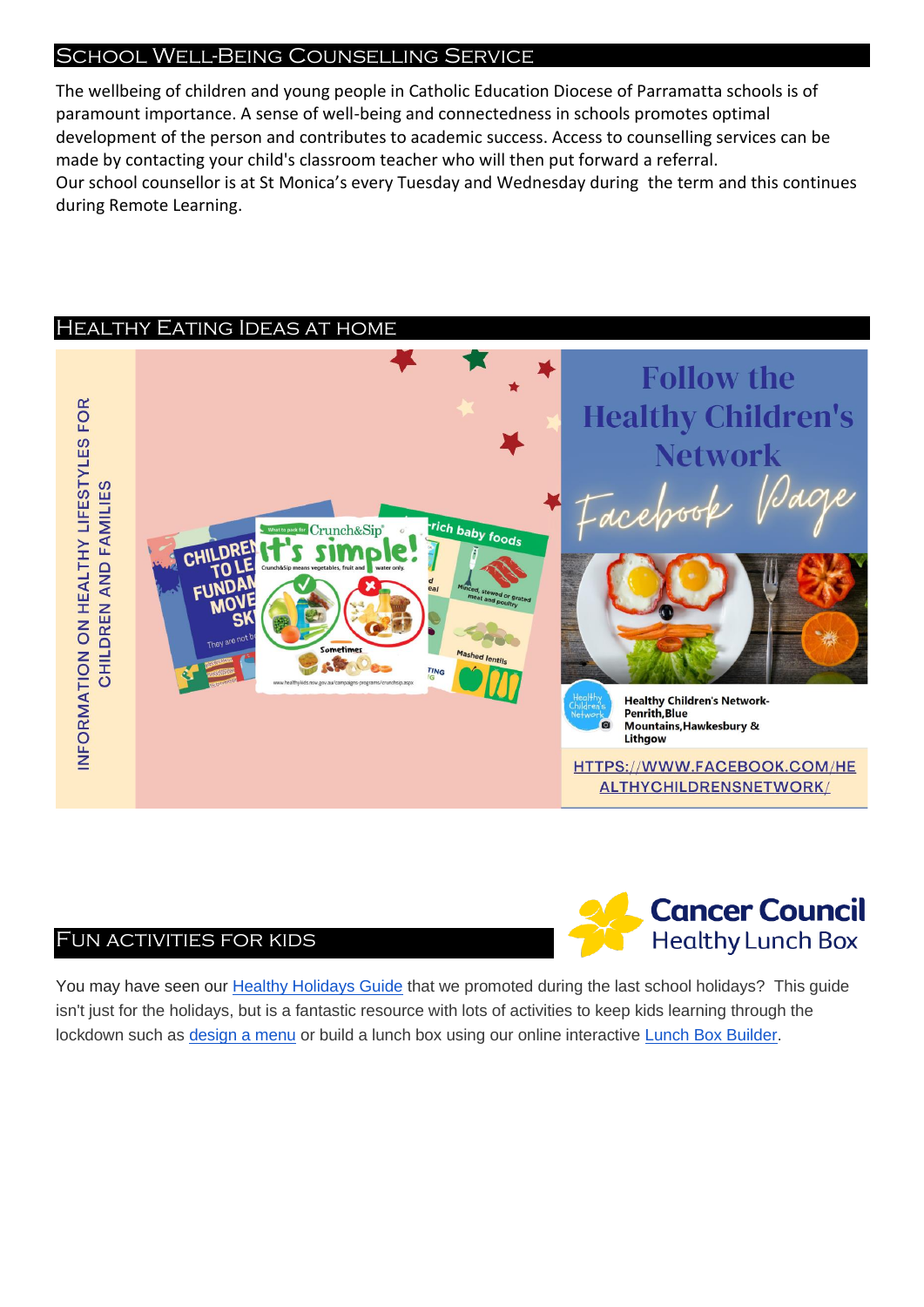### School Well-Being Counselling Service

The wellbeing of children and young people in Catholic Education Diocese of Parramatta schools is of paramount importance. A sense of well-being and connectedness in schools promotes optimal development of the person and contributes to academic success. Access to counselling services can be made by contacting your child's classroom teacher who will then put forward a referral. Our school counsellor is at St Monica's every Tuesday and Wednesday during the term and this continues during Remote Learning.

### Healthy Eating Ideas at home



### Fun activities for kids



You may have seen our [Healthy Holidays Guide](https://aus01.safelinks.protection.outlook.com/?url=https%3A%2F%2Fhealthylunchbox.com.au%2Fblog%2Fhealthy-holidays-guide%2F%3Futm_source%3Dreferral%26utm_medium%3Demail%26utm_campaign%3Dnsw_hlb21%26utm_content%3Dschools_t3email&data=04%7C01%7Chealthylunchbox%40nswcc.org.au%7Cfc396c903d0b411658be08d94f33b821%7Cd1915bf415464990bcd4abdb03b89703%7C0%7C0%7C637627905848554135%7CUnknown%7CTWFpbGZsb3d8eyJWIjoiMC4wLjAwMDAiLCJQIjoiV2luMzIiLCJBTiI6Ik1haWwiLCJXVCI6Mn0%3D%7C1000&sdata=TkpN8%2FKAyflxDDMHXaKKluW6B9bKLJVob7kT2nc7%2BdU%3D&reserved=0) that we promoted during the last school holidays? This guide isn't just for the holidays, but is a fantastic resource with lots of activities to keep kids learning through the lockdown such as [design a menu](https://aus01.safelinks.protection.outlook.com/?url=https%3A%2F%2Fhealthylunchbox.com.au%2Fblog%2Fcreate-your-own-cafe%2F%3Futm_source%3Dreferral%26utm_medium%3Demail%26utm_campaign%3Dnsw_hlb21%26utm_content%3Dschools_t3email&data=04%7C01%7Chealthylunchbox%40nswcc.org.au%7Cfc396c903d0b411658be08d94f33b821%7Cd1915bf415464990bcd4abdb03b89703%7C0%7C0%7C637627905848554135%7CUnknown%7CTWFpbGZsb3d8eyJWIjoiMC4wLjAwMDAiLCJQIjoiV2luMzIiLCJBTiI6Ik1haWwiLCJXVCI6Mn0%3D%7C1000&sdata=lqkiJl6DoTene3aZC4SsQY471jbTzRazIlaudUEeo8E%3D&reserved=0) or build a lunch box using our online interactive [Lunch Box Builder.](https://aus01.safelinks.protection.outlook.com/?url=https%3A%2F%2Fhealthylunchbox.com.au%2Fbuilder%2F%3Futm_source%3Dreferral%26utm_medium%3Demail%26utm_campaign%3Dnsw_hlb21%26utm_content%3Dschools_t3email&data=04%7C01%7Chealthylunchbox%40nswcc.org.au%7Cfc396c903d0b411658be08d94f33b821%7Cd1915bf415464990bcd4abdb03b89703%7C0%7C0%7C637627905848564135%7CUnknown%7CTWFpbGZsb3d8eyJWIjoiMC4wLjAwMDAiLCJQIjoiV2luMzIiLCJBTiI6Ik1haWwiLCJXVCI6Mn0%3D%7C1000&sdata=Tr6Jkzjx04VOQ4P5w5x4gOSZdHEWsE1%2ByT7%2BqbRFi6I%3D&reserved=0)